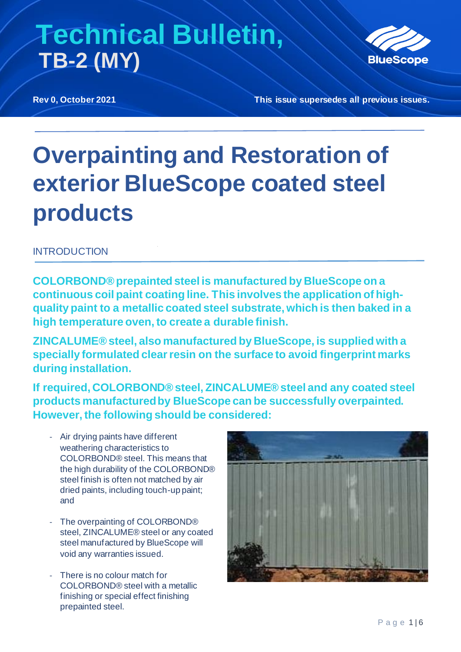

**Rev 0, October 2021 This issue supersedes all previous issues.**

# **Overpainting and Restoration of exterior BlueScope coated steel products**

### **INTRODUCTION**

**COLORBOND® prepainted steel is manufactured by BlueScope on a continuous coil paint coating line. This involves the application of highquality paint to a metallic coated steel substrate, which is then baked in a high temperature oven, to create a durable finish.** 

**ZINCALUME® steel, also manufactured by BlueScope, is supplied with a specially formulated clear resin on the surface to avoid fingerprint marks during installation.** 

**If required, COLORBOND® steel, ZINCALUME® steel and any coated steel products manufactured by BlueScope can be successfully overpainted. However, the following should be considered:**

- Air drying paints have different weathering characteristics to COLORBOND® steel. This means that the high durability of the COLORBOND® steel finish is often not matched by air dried paints, including touch-up paint; and
- The overpainting of COLORBOND® steel, ZINCALUME® steel or any coated steel manufactured by BlueScope will void any warranties issued.
- There is no colour match for COLORBOND® steel with a metallic finishing or special effect finishing prepainted steel.

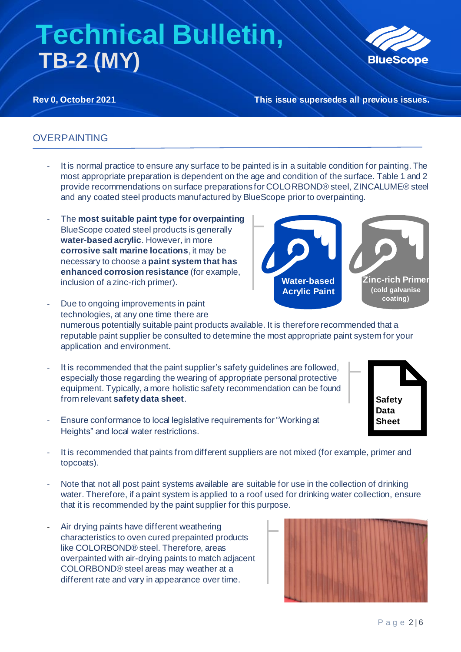

**Rev 0, October 2021 This issue supersedes all previous issues.**

### OVERPAINTING

- It is normal practice to ensure any surface to be painted is in a suitable condition for painting. The most appropriate preparation is dependent on the age and condition of the surface. Table 1 and 2 provide recommendations on surface preparations for COLORBOND® steel, ZINCALUME® steel and any coated steel products manufactured by BlueScope prior to overpainting.
- The **most suitable paint type for overpainting** BlueScope coated steel products is generally **water-based acrylic**. However, in more **corrosive salt marine locations**, it may be necessary to choose a **paint system that has enhanced corrosion resistance** (for example, inclusion of a zinc-rich primer).



- Due to ongoing improvements in paint technologies, at any one time there are numerous potentially suitable paint products available. It is therefore recommended that a reputable paint supplier be consulted to determine the most appropriate paint system for your application and environment.
- It is recommended that the paint supplier's safety guidelines are followed, especially those regarding the wearing of appropriate personal protective equipment. Typically, a more holistic safety recommendation can be found from relevant **safety data sheet**.
- Ensure conformance to local legislative requirements for "Working at Heights" and local water restrictions.
- It is recommended that paints from different suppliers are not mixed (for example, primer and topcoats).
- Note that not all post paint systems available are suitable for use in the collection of drinking water. Therefore, if a paint system is applied to a roof used for drinking water collection, ensure that it is recommended by the paint supplier for this purpose.
- Air drying paints have different weathering characteristics to oven cured prepainted products like COLORBOND® steel. Therefore, areas overpainted with air-drying paints to match adjacent COLORBOND® steel areas may weather at a different rate and vary in appearance over time.



**Safety Data Sheet**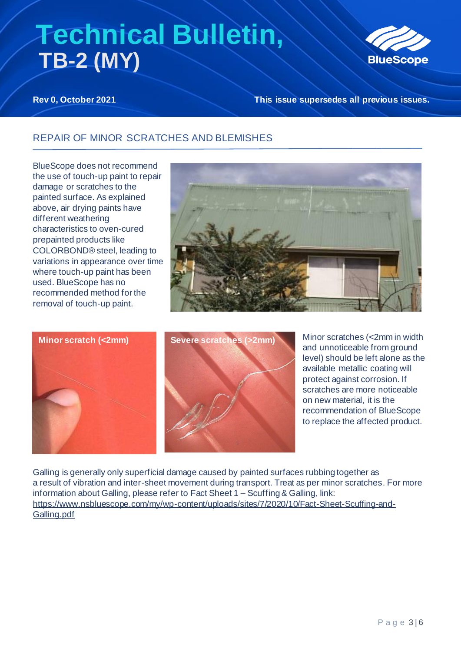

**Rev 0, October 2021 This issue supersedes all previous issues.**

### REPAIR OF MINOR SCRATCHES AND BLEMISHES

BlueScope does not recommend the use of touch-up paint to repair damage or scratches to the painted surface. As explained above, air drying paints have different weathering characteristics to oven-cured prepainted products like COLORBOND® steel, leading to variations in appearance over time where touch-up paint has been used. BlueScope has no recommended method for the removal of touch-up paint.







Minor scratches (<2mm in width and unnoticeable from ground level) should be left alone as the available metallic coating will protect against corrosion. If scratches are more noticeable on new material, it is the recommendation of BlueScope to replace the affected product.

Galling is generally only superficial damage caused by painted surfaces rubbing together as a result of vibration and inter-sheet movement during transport. Treat as per minor scratches. For more information about Galling, please refer to Fact Sheet 1 – Scuffing & Galling, link: [https://www.nsbluescope.com/my/wp-content/uploads/sites/7/2020/10/Fact-Sheet-Scuffing-and-](https://www.nsbluescope.com/my/wp-content/uploads/sites/7/2020/10/Fact-Sheet-Scuffing-and-Galling.pdf)[Galling.pdf](https://www.nsbluescope.com/my/wp-content/uploads/sites/7/2020/10/Fact-Sheet-Scuffing-and-Galling.pdf)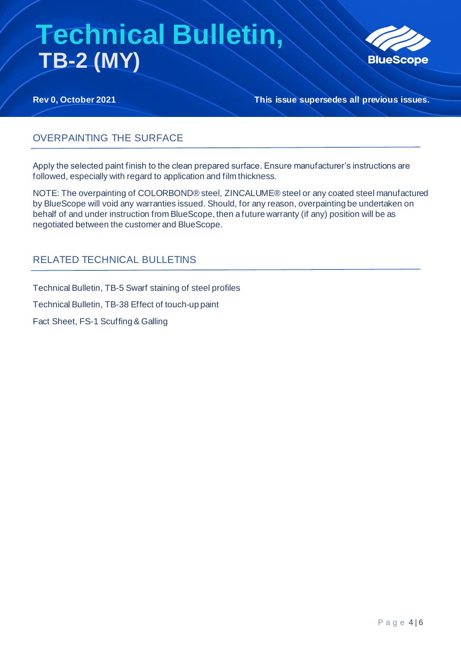

**Rev 0, October 2021 This issue supersedes all previous issues.**

### OVERPAINTING THE SURFACE

Apply the selected paint finish to the clean prepared surface. Ensure manufacturer's instructions are followed, especially with regard to application and film thickness.

NOTE: The overpainting of COLORBOND® steel, ZINCALUME® steel or any coated steel manufactured by BlueScope will void any warranties issued. Should, for any reason, overpainting be undertaken on behalf of and under instruction from BlueScope, then a future warranty (if any) position will be as negotiated between the customer and BlueScope.

### RELATED TECHNICAL BULLETINS

Technical Bulletin, TB-5 Swarf staining of steel profiles

Technical Bulletin, TB-38 Effect of touch-up paint

Fact Sheet, FS-1 Scuffing & Galling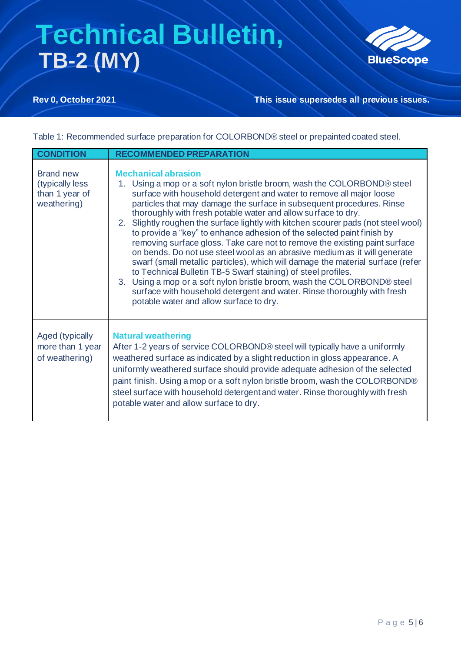

**Rev 0, October 2021 This issue supersedes all previous issues.**

Table 1: Recommended surface preparation for COLORBOND® steel or prepainted coated steel.

| <b>CONDITION</b>                                                     | <b>RECOMMENDED PREPARATION</b>                                                                                                                                                                                                                                                                                                                                                                                                                                                                                                                                                                                                                                                                                                                                                                                                                                                                                                                                                                          |
|----------------------------------------------------------------------|---------------------------------------------------------------------------------------------------------------------------------------------------------------------------------------------------------------------------------------------------------------------------------------------------------------------------------------------------------------------------------------------------------------------------------------------------------------------------------------------------------------------------------------------------------------------------------------------------------------------------------------------------------------------------------------------------------------------------------------------------------------------------------------------------------------------------------------------------------------------------------------------------------------------------------------------------------------------------------------------------------|
| <b>Brand new</b><br>(typically less<br>than 1 year of<br>weathering) | <b>Mechanical abrasion</b><br>1. Using a mop or a soft nylon bristle broom, wash the COLORBOND® steel<br>surface with household detergent and water to remove all major loose<br>particles that may damage the surface in subsequent procedures. Rinse<br>thoroughly with fresh potable water and allow surface to dry.<br>2. Slightly roughen the surface lightly with kitchen scourer pads (not steel wool)<br>to provide a "key" to enhance adhesion of the selected paint finish by<br>removing surface gloss. Take care not to remove the existing paint surface<br>on bends. Do not use steel wool as an abrasive medium as it will generate<br>swarf (small metallic particles), which will damage the material surface (refer<br>to Technical Bulletin TB-5 Swarf staining) of steel profiles.<br>3. Using a mop or a soft nylon bristle broom, wash the COLORBOND® steel<br>surface with household detergent and water. Rinse thoroughly with fresh<br>potable water and allow surface to dry. |
| Aged (typically<br>more than 1 year<br>of weathering)                | <b>Natural weathering</b><br>After 1-2 years of service COLORBOND® steel will typically have a uniformly<br>weathered surface as indicated by a slight reduction in gloss appearance. A<br>uniformly weathered surface should provide adequate adhesion of the selected<br>paint finish. Using a mop or a soft nylon bristle broom, wash the COLORBOND®<br>steel surface with household detergent and water. Rinse thoroughly with fresh<br>potable water and allow surface to dry.                                                                                                                                                                                                                                                                                                                                                                                                                                                                                                                     |